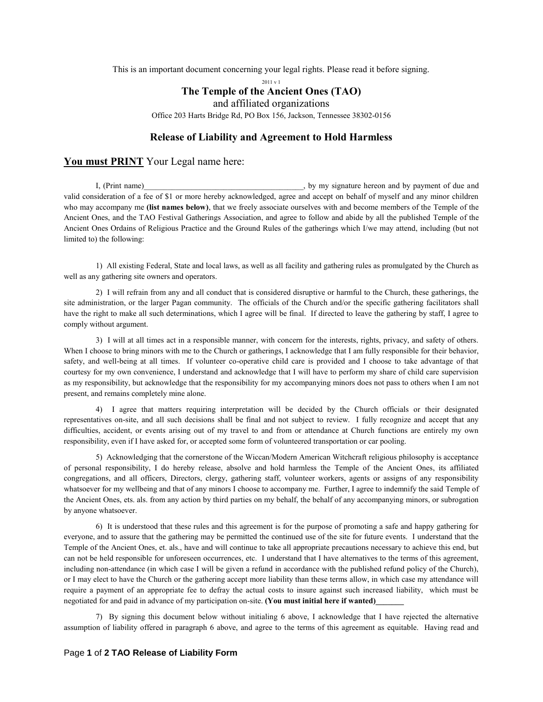This is an important document concerning your legal rights. Please read it before signing.

2011 v 1

## **The Temple of the Ancient Ones (TAO)**

and affiliated organizations

Office 203 Harts Bridge Rd, PO Box 156, Jackson, Tennessee 38302-0156

## **Release of Liability and Agreement to Hold Harmless**

## **You must PRINT** Your Legal name here:

I, (Print name) on the same state of the state of the state of the state of the state of due and by payment of due and  $\frac{1}{2}$ , by my signature hereon and by payment of due and valid consideration of a fee of \$1 or more hereby acknowledged, agree and accept on behalf of myself and any minor children who may accompany me **(list names below)**, that we freely associate ourselves with and become members of the Temple of the Ancient Ones, and the TAO Festival Gatherings Association, and agree to follow and abide by all the published Temple of the Ancient Ones Ordains of Religious Practice and the Ground Rules of the gatherings which I/we may attend, including (but not limited to) the following:

1) All existing Federal, State and local laws, as well as all facility and gathering rules as promulgated by the Church as well as any gathering site owners and operators.

2) I will refrain from any and all conduct that is considered disruptive or harmful to the Church, these gatherings, the site administration, or the larger Pagan community. The officials of the Church and/or the specific gathering facilitators shall have the right to make all such determinations, which I agree will be final. If directed to leave the gathering by staff, I agree to comply without argument.

3) I will at all times act in a responsible manner, with concern for the interests, rights, privacy, and safety of others. When I choose to bring minors with me to the Church or gatherings, I acknowledge that I am fully responsible for their behavior, safety, and well-being at all times. If volunteer co-operative child care is provided and I choose to take advantage of that courtesy for my own convenience, I understand and acknowledge that I will have to perform my share of child care supervision as my responsibility, but acknowledge that the responsibility for my accompanying minors does not pass to others when I am not present, and remains completely mine alone.

4) I agree that matters requiring interpretation will be decided by the Church officials or their designated representatives on-site, and all such decisions shall be final and not subject to review. I fully recognize and accept that any difficulties, accident, or events arising out of my travel to and from or attendance at Church functions are entirely my own responsibility, even if I have asked for, or accepted some form of volunteered transportation or car pooling.

5) Acknowledging that the cornerstone of the Wiccan/Modern American Witchcraft religious philosophy is acceptance of personal responsibility, I do hereby release, absolve and hold harmless the Temple of the Ancient Ones, its affiliated congregations, and all officers, Directors, clergy, gathering staff, volunteer workers, agents or assigns of any responsibility whatsoever for my wellbeing and that of any minors I choose to accompany me. Further, I agree to indemnify the said Temple of the Ancient Ones, ets. als. from any action by third parties on my behalf, the behalf of any accompanying minors, or subrogation by anyone whatsoever.

6) It is understood that these rules and this agreement is for the purpose of promoting a safe and happy gathering for everyone, and to assure that the gathering may be permitted the continued use of the site for future events. I understand that the Temple of the Ancient Ones, et. als., have and will continue to take all appropriate precautions necessary to achieve this end, but can not be held responsible for unforeseen occurrences, etc. I understand that I have alternatives to the terms of this agreement, including non-attendance (in which case I will be given a refund in accordance with the published refund policy of the Church), or I may elect to have the Church or the gathering accept more liability than these terms allow, in which case my attendance will require a payment of an appropriate fee to defray the actual costs to insure against such increased liability, which must be negotiated for and paid in advance of my participation on-site. **(You must initial here if wanted)\_\_\_\_\_\_\_** 

7) By signing this document below without initialing 6 above, I acknowledge that I have rejected the alternative assumption of liability offered in paragraph 6 above, and agree to the terms of this agreement as equitable. Having read and

## Page **1** of **2 TAO Release of Liability Form**